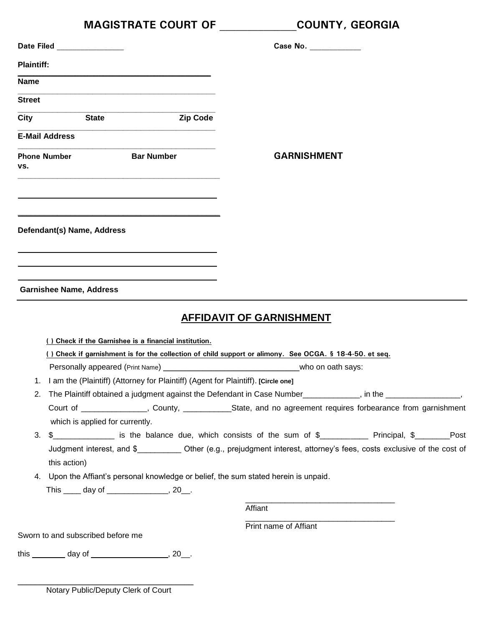|                   | <b>MAGISTRATE COURT OF</b>                                                                                                                      | <b>COUNTY, GEORGIA</b>          |  |
|-------------------|-------------------------------------------------------------------------------------------------------------------------------------------------|---------------------------------|--|
|                   | Date Filed ________________                                                                                                                     | Case No. __________             |  |
| <b>Plaintiff:</b> |                                                                                                                                                 |                                 |  |
| <b>Name</b>       |                                                                                                                                                 |                                 |  |
| <b>Street</b>     |                                                                                                                                                 |                                 |  |
|                   | <b>Zip Code</b><br>City State                                                                                                                   |                                 |  |
|                   | <b>E-Mail Address</b>                                                                                                                           |                                 |  |
| VS.               | <b>Phone Number 6 Bar Number</b>                                                                                                                | <b>GARNISHMENT</b>              |  |
|                   | Defendant(s) Name, Address                                                                                                                      |                                 |  |
|                   | <b>Garnishee Name, Address</b>                                                                                                                  | <b>AFFIDAVIT OF GARNISHMENT</b> |  |
|                   | () Check if the Garnishee is a financial institution.                                                                                           |                                 |  |
|                   | () Check if garnishment is for the collection of child support or alimony. See OCGA. § 18-4-50. et seq.                                         |                                 |  |
|                   | Personally appeared (Print Name) _                                                                                                              | who on oath says:               |  |
|                   | 1. I am the (Plaintiff) (Attorney for Plaintiff) (Agent for Plaintiff). [Circle one]                                                            |                                 |  |
| 2.                | The Plaintiff obtained a judgment against the Defendant in Case Number___________, in the ________________,                                     |                                 |  |
|                   | Court of ________________, County, _____________State, and no agreement requires forbearance from garnishment                                   |                                 |  |
| 3.                | which is applied for currently.<br>\$________________ is the balance due, which consists of the sum of \$____________ Principal, \$________Post |                                 |  |
|                   | Judgment interest, and \$____________ Other (e.g., prejudgment interest, attorney's fees, costs exclusive of the cost of<br>this action)        |                                 |  |
|                   | 4. Upon the Affiant's personal knowledge or belief, the sum stated herein is unpaid.<br>This _____ day of ________________, 20__.               |                                 |  |
|                   |                                                                                                                                                 | Affiant                         |  |
|                   |                                                                                                                                                 | Print name of Affiant           |  |
|                   | Sworn to and subscribed before me                                                                                                               |                                 |  |
|                   |                                                                                                                                                 |                                 |  |
|                   |                                                                                                                                                 |                                 |  |

Notary Public/Deputy Clerk of Court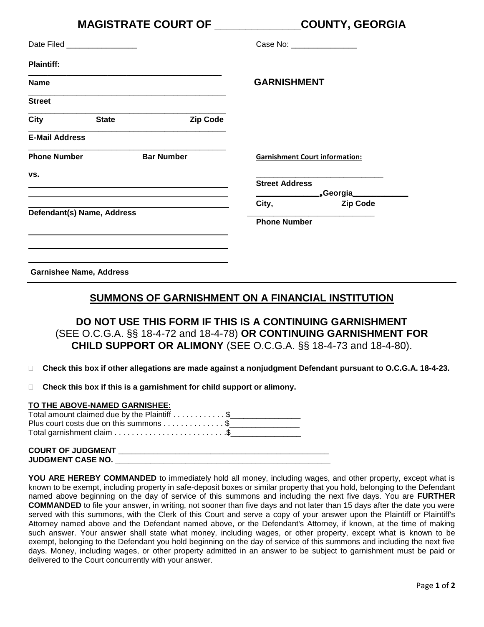|                                |                                                                                                                                                                                                                               | MAGISTRATE COURT OF ____________ |                             | <b>COUNTY, GEORGIA</b>                |
|--------------------------------|-------------------------------------------------------------------------------------------------------------------------------------------------------------------------------------------------------------------------------|----------------------------------|-----------------------------|---------------------------------------|
| Date Filed __________________  |                                                                                                                                                                                                                               |                                  | Case No: __________________ |                                       |
| <b>Plaintiff:</b>              |                                                                                                                                                                                                                               |                                  |                             |                                       |
| <b>Name</b>                    |                                                                                                                                                                                                                               |                                  | <b>GARNISHMENT</b>          |                                       |
| <b>Street</b>                  |                                                                                                                                                                                                                               |                                  |                             |                                       |
| <b>City</b>                    | <b>State</b>                                                                                                                                                                                                                  | <b>Zip Code</b>                  |                             |                                       |
| <b>E-Mail Address</b>          |                                                                                                                                                                                                                               |                                  |                             |                                       |
| <b>Phone Number</b>            |                                                                                                                                                                                                                               | <b>Bar Number</b>                |                             | <b>Garnishment Court information:</b> |
| VS.                            | and the control of the control of the control of the control of the control of the control of the control of the                                                                                                              |                                  | <b>Street Address</b>       |                                       |
|                                | the control of the control of the control of the control of the control of the control of the control of the control of the control of the control of the control of the control of the control of the control of the control |                                  |                             |                                       |
| Defendant(s) Name, Address     |                                                                                                                                                                                                                               |                                  | City,                       | <b>Zip Code</b>                       |
|                                |                                                                                                                                                                                                                               |                                  | <b>Phone Number</b>         |                                       |
|                                | <u> 1989 - John Stein, september 1989 - John Stein, september 1989 - John Stein, september 1989 - John Stein, sep</u>                                                                                                         |                                  |                             |                                       |
| <b>Garnishee Name, Address</b> |                                                                                                                                                                                                                               |                                  |                             |                                       |

### **SUMMONS OF GARNISHMENT ON A FINANCIAL INSTITUTION**

**DO NOT USE THIS FORM IF THIS IS A CONTINUING GARNISHMENT** (SEE O.C.G.A. §§ 18-4-72 and 18-4-78) **OR CONTINUING GARNISHMENT FOR CHILD SUPPORT OR ALIMONY** (SEE O.C.G.A. §§ 18-4-73 and 18-4-80).

- **Check this box if other allegations are made against a nonjudgment Defendant pursuant to O.C.G.A. 18-4-23.**
- **Check this box if this is a garnishment for child support or alimony.**

#### **TO THE ABOVE-NAMED GARNISHEE:**

| Total amount claimed due by the Plaintiff \$ |
|----------------------------------------------|
| Plus court costs due on this summons \$      |
|                                              |

| <b>COURT OF JUDGMENT</b> |  |
|--------------------------|--|
| <b>JUDGMENT CASE NO.</b> |  |
|                          |  |

**YOU ARE HEREBY COMMANDED** to immediately hold all money, including wages, and other property, except what is known to be exempt, including property in safe-deposit boxes or similar property that you hold, belonging to the Defendant named above beginning on the day of service of this summons and including the next five days. You are **FURTHER COMMANDED** to file your answer, in writing, not sooner than five days and not later than 15 days after the date you were served with this summons, with the Clerk of this Court and serve a copy of your answer upon the Plaintiff or Plaintiff's Attorney named above and the Defendant named above, or the Defendant's Attorney, if known, at the time of making such answer. Your answer shall state what money, including wages, or other property, except what is known to be exempt, belonging to the Defendant you hold beginning on the day of service of this summons and including the next five days. Money, including wages, or other property admitted in an answer to be subject to garnishment must be paid or delivered to the Court concurrently with your answer.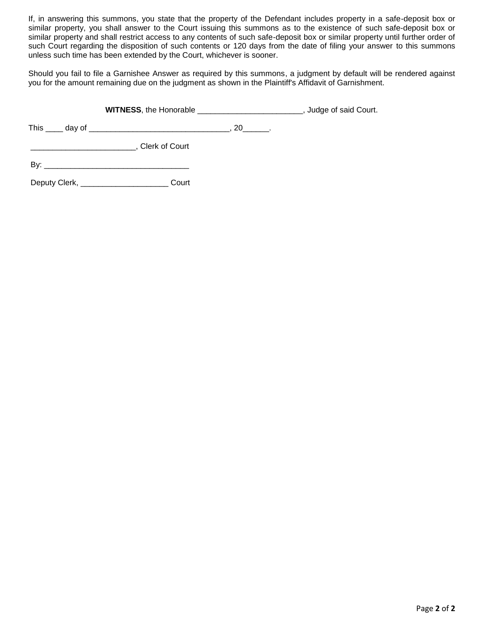If, in answering this summons, you state that the property of the Defendant includes property in a safe-deposit box or similar property, you shall answer to the Court issuing this summons as to the existence of such safe-deposit box or similar property and shall restrict access to any contents of such safe-deposit box or similar property until further order of such Court regarding the disposition of such contents or 120 days from the date of filing your answer to this summons unless such time has been extended by the Court, whichever is sooner.

Should you fail to file a Garnishee Answer as required by this summons, a judgment by default will be rendered against you for the amount remaining due on the judgment as shown in the Plaintiff's Affidavit of Garnishment.

**WITNESS**, the Honorable **WITNESS**, the Honorable **Example 20**, Judge of said Court.

This \_\_\_\_ day of \_\_\_\_\_\_\_\_\_\_\_\_\_\_\_\_\_\_\_\_\_\_\_\_\_\_\_\_\_\_\_\_, 20\_\_\_\_\_\_.

\_\_\_\_\_\_\_\_\_\_\_\_\_\_\_\_\_\_\_\_\_\_\_\_, Clerk of Court

By: \_\_\_\_\_\_\_\_\_\_\_\_\_\_\_\_\_\_\_\_\_\_\_\_\_\_\_\_\_\_\_\_\_

Deputy Clerk, \_\_\_\_\_\_\_\_\_\_\_\_\_\_\_\_\_\_\_\_ Court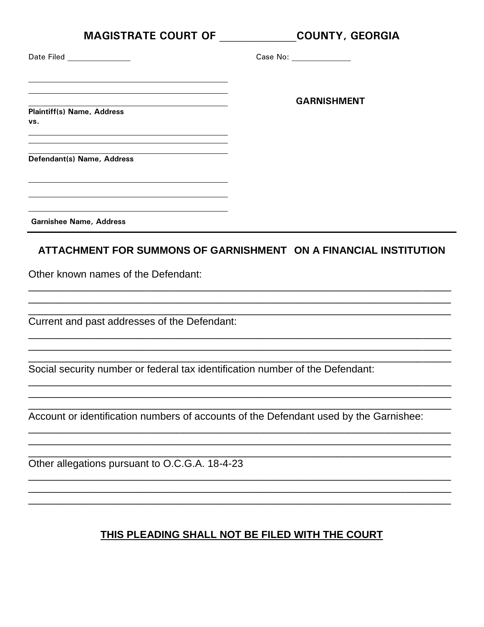| MAGISTRATE COURT OF ___________                                                                                                                                                                                                                                                                                                 | <b>COUNTY, GEORGIA</b>   |
|---------------------------------------------------------------------------------------------------------------------------------------------------------------------------------------------------------------------------------------------------------------------------------------------------------------------------------|--------------------------|
| Date Filed ________________                                                                                                                                                                                                                                                                                                     | Case No: _______________ |
|                                                                                                                                                                                                                                                                                                                                 | <b>GARNISHMENT</b>       |
| <b>Plaintiff(s) Name, Address</b><br>VS.<br><u> 1989 - Andrea Barbara, Amerikaansk politiker (d. 1989)</u>                                                                                                                                                                                                                      |                          |
| Defendant(s) Name, Address<br><u> 1989 - Jan James James Barnett, fransk politik (d. 1989)</u>                                                                                                                                                                                                                                  |                          |
| <u> 1989 - Johann Stein, mars an de Britannich (b. 1989)</u><br>the control of the control of the control of the control of the control of the control of the control of the control of the control of the control of the control of the control of the control of the control of the control<br><b>Garnishee Name, Address</b> |                          |
| ATTACHMENT FOR SUMMONS OF GARNISHMENT ON A FINANCIAL INSTITUTION                                                                                                                                                                                                                                                                |                          |
| Other known names of the Defendant:                                                                                                                                                                                                                                                                                             |                          |
| Current and past addresses of the Defendant:                                                                                                                                                                                                                                                                                    |                          |
| Social security number or federal tax identification number of the Defendant:                                                                                                                                                                                                                                                   |                          |
| Account or identification numbers of accounts of the Defendant used by the Garnishee:                                                                                                                                                                                                                                           |                          |
| Other allegations pursuant to O.C.G.A. 18-4-23                                                                                                                                                                                                                                                                                  |                          |
| THIS PLEADING SHALL NOT BE FILED WITH THE COURT                                                                                                                                                                                                                                                                                 |                          |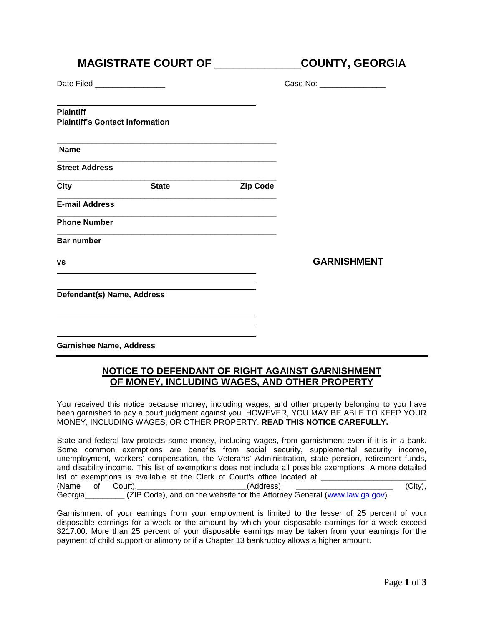# **MAGISTRATE COURT OF \_\_\_\_\_\_\_\_\_\_\_\_\_\_COUNTY, GEORGIA**

**\_\_\_\_\_\_\_\_\_\_\_\_\_\_\_\_\_\_\_\_\_\_\_\_\_\_\_\_\_\_\_\_\_\_\_\_\_\_\_\_\_\_\_\_\_\_\_\_\_\_**

**\_\_\_\_\_\_\_\_\_\_\_\_\_\_\_\_\_\_\_\_\_\_\_\_\_\_\_\_\_\_\_\_\_\_\_\_\_\_\_\_\_\_\_\_\_\_\_\_\_\_**

**\_\_\_\_\_\_\_\_\_\_\_\_\_\_\_\_\_\_\_\_\_\_\_\_\_\_\_\_\_\_\_\_\_\_\_\_\_\_\_\_\_\_\_\_\_\_\_\_\_\_**

Date Filed **Date** No. 2010

| Case No: |  |  |
|----------|--|--|
|----------|--|--|

**Plaintiff**

**Plaintiff's Contact Information**

**Name**

**Street Address**

**\_\_\_\_\_\_\_\_\_\_\_\_\_\_\_\_\_\_\_\_\_\_\_\_\_\_\_\_\_\_\_\_\_\_\_\_\_\_\_\_\_\_\_\_\_\_\_\_\_\_ City State Zip Code**

**\_\_\_\_\_\_\_\_\_\_\_\_\_\_\_\_\_\_\_\_\_\_\_\_\_\_\_\_\_\_\_\_\_\_\_\_\_\_\_\_\_\_\_\_\_\_\_\_\_\_ E-mail Address**

**\_\_\_\_\_\_\_\_\_\_\_\_\_\_\_\_\_\_\_\_\_\_\_\_\_\_\_\_\_\_\_\_\_\_\_\_\_\_\_\_\_\_\_\_\_\_\_\_\_\_ Phone Number**

**Bar number**

**vs GARNISHMENT**

**Defendant(s) Name, Address**

**Garnishee Name, Address**

### **NOTICE TO DEFENDANT OF RIGHT AGAINST GARNISHMENT OF MONEY, INCLUDING WAGES, AND OTHER PROPERTY**

You received this notice because money, including wages, and other property belonging to you have been garnished to pay a court judgment against you. HOWEVER, YOU MAY BE ABLE TO KEEP YOUR MONEY, INCLUDING WAGES, OR OTHER PROPERTY. **READ THIS NOTICE CAREFULLY.**

State and federal law protects some money, including wages, from garnishment even if it is in a bank. Some common exemptions are benefits from social security, supplemental security income, unemployment, workers' compensation, the Veterans' Administration, state pension, retirement funds, and disability income. This list of exemptions does not include all possible exemptions. A more detailed list of exemptions is available at the Clerk of Court's office located at \_\_\_\_\_\_\_\_\_\_ (Name of Court), (Name of Court), (City), Georgia (ZIP Code), and on the website for the Attorney General [\(www.law.ga.gov\)](http://www.law.ga.gov/).

Garnishment of your earnings from your employment is limited to the lesser of 25 percent of your disposable earnings for a week or the amount by which your disposable earnings for a week exceed \$217.00. More than 25 percent of your disposable earnings may be taken from your earnings for the payment of child support or alimony or if a Chapter 13 bankruptcy allows a higher amount.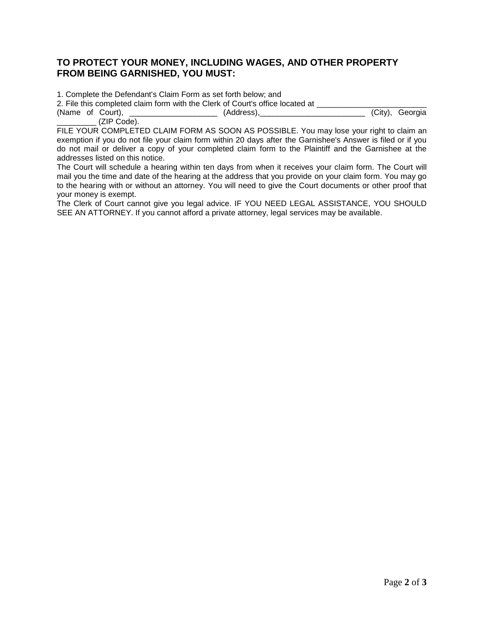#### **TO PROTECT YOUR MONEY, INCLUDING WAGES, AND OTHER PROPERTY FROM BEING GARNISHED, YOU MUST:**

1. Complete the Defendant's Claim Form as set forth below; and

2. File this completed claim form with the Clerk of Court's office located at \_\_\_\_\_\_\_\_\_\_\_\_\_\_\_\_\_\_\_\_\_\_\_\_\_\_\_\_\_\_\_\_<br>(Address). (Address). (Address). (Address). (Name of Court), \_\_\_\_\_\_\_\_\_\_\_\_\_\_\_\_\_\_\_\_\_\_\_ (Address), \_\_\_\_\_\_\_\_\_\_\_\_\_\_\_\_\_\_\_\_\_\_\_\_\_\_\_\_

\_\_\_\_\_\_\_\_\_ (ZIP Code). FILE YOUR COMPLETED CLAIM FORM AS SOON AS POSSIBLE. You may lose your right to claim an exemption if you do not file your claim form within 20 days after the Garnishee's Answer is filed or if you do not mail or deliver a copy of your completed claim form to the Plaintiff and the Garnishee at the addresses listed on this notice.

The Court will schedule a hearing within ten days from when it receives your claim form. The Court will mail you the time and date of the hearing at the address that you provide on your claim form. You may go to the hearing with or without an attorney. You will need to give the Court documents or other proof that your money is exempt.

The Clerk of Court cannot give you legal advice. IF YOU NEED LEGAL ASSISTANCE, YOU SHOULD SEE AN ATTORNEY. If you cannot afford a private attorney, legal services may be available.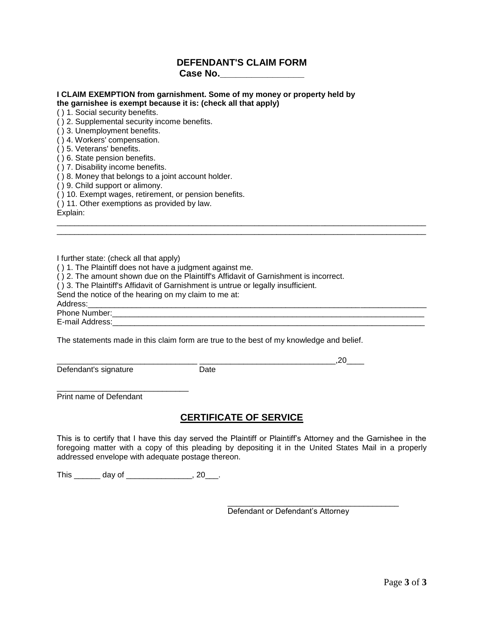### **DEFENDANT'S CLAIM FORM Case No.\_\_\_\_\_\_\_\_\_\_\_\_\_\_\_\_**

\_\_\_\_\_\_\_\_\_\_\_\_\_\_\_\_\_\_\_\_\_\_\_\_\_\_\_\_\_\_\_\_\_\_\_\_\_\_\_\_\_\_\_\_\_\_\_\_\_\_\_\_\_\_\_\_\_\_\_\_\_\_\_\_\_\_\_\_\_\_\_\_\_\_\_\_\_\_\_\_\_\_\_\_ \_\_\_\_\_\_\_\_\_\_\_\_\_\_\_\_\_\_\_\_\_\_\_\_\_\_\_\_\_\_\_\_\_\_\_\_\_\_\_\_\_\_\_\_\_\_\_\_\_\_\_\_\_\_\_\_\_\_\_\_\_\_\_\_\_\_\_\_\_\_\_\_\_\_\_\_\_\_\_\_\_\_\_\_

# **I CLAIM EXEMPTION from garnishment. Some of my money or property held by**

**the garnishee is exempt because it is: (check all that apply)**

( ) 1. Social security benefits.

( ) 2. Supplemental security income benefits.

( ) 3. Unemployment benefits.

( ) 4. Workers' compensation.

- ( ) 5. Veterans' benefits.
- ( ) 6. State pension benefits.
- ( ) 7. Disability income benefits.

( ) 8. Money that belongs to a joint account holder.

( ) 9. Child support or alimony.

( ) 10. Exempt wages, retirement, or pension benefits.

( ) 11. Other exemptions as provided by law.

Explain:

I further state: (check all that apply)

( ) 1. The Plaintiff does not have a judgment against me.

( ) 2. The amount shown due on the Plaintiff's Affidavit of Garnishment is incorrect.

( ) 3. The Plaintiff's Affidavit of Garnishment is untrue or legally insufficient.

Send the notice of the hearing on my claim to me at:

Address:\_\_\_\_\_\_\_\_\_\_\_\_\_\_\_\_\_\_\_\_\_\_\_\_\_\_\_\_\_\_\_\_\_\_\_\_\_\_\_\_\_\_\_\_\_\_\_\_\_\_\_\_\_\_\_\_\_\_\_\_\_\_\_\_\_\_\_\_\_\_\_\_\_\_\_\_\_

Phone Number:\_\_\_\_\_\_\_\_\_\_\_\_\_\_\_\_\_\_\_\_\_\_\_\_\_\_\_\_\_\_\_\_\_\_\_\_\_\_\_\_\_\_\_\_\_\_\_\_\_\_\_\_\_\_\_\_\_\_\_\_\_\_\_\_\_\_\_\_\_\_\_

E-mail Address: **E-mail Address**:

The statements made in this claim form are true to the best of my knowledge and belief.

Defendant's signature Date

\_\_\_\_\_\_\_\_\_\_\_\_\_\_\_\_\_\_\_\_\_\_\_\_\_\_\_\_\_\_ Print name of Defendant

### **CERTIFICATE OF SERVICE**

This is to certify that I have this day served the Plaintiff or Plaintiff's Attorney and the Garnishee in the foregoing matter with a copy of this pleading by depositing it in the United States Mail in a properly addressed envelope with adequate postage thereon.

This \_\_\_\_\_\_\_\_ day of \_\_\_\_\_\_\_\_\_\_\_\_\_\_\_\_\_\_, 20\_\_\_.

Defendant or Defendant's Attorney

\_\_\_\_\_\_\_\_\_\_\_\_\_\_\_\_\_\_\_\_\_\_\_\_\_\_\_\_\_\_\_\_\_\_\_\_\_\_\_

 $\sim$  .20